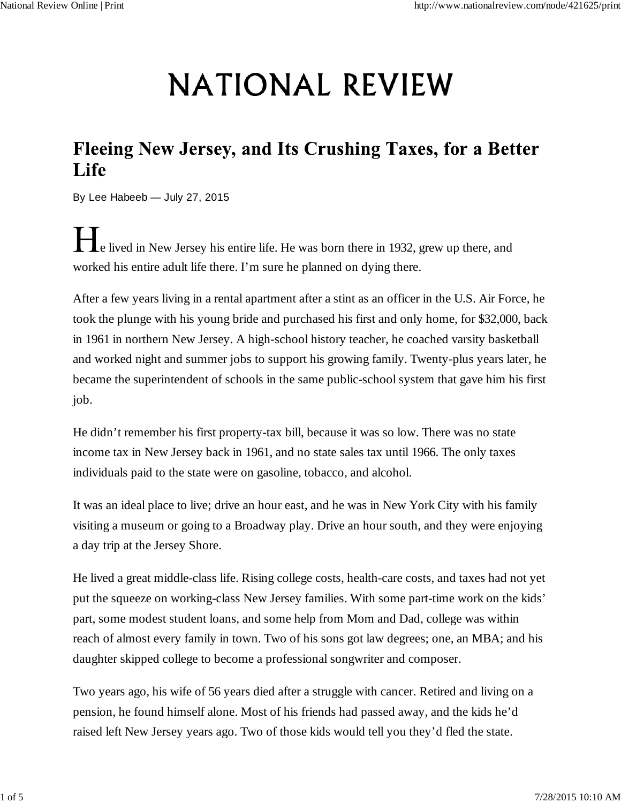## **NATIONAL REVIEW**

## Fleeing New Jersey, and Its Crushing Taxes, for a Better Life

By Lee Habeeb — July 27, 2015

e lived in New Jersey his entire life. He was born there in 1932, grew up there, and worked his entire adult life there. I'm sure he planned on dying there.

After a few years living in a rental apartment after a stint as an officer in the U.S. Air Force, he took the plunge with his young bride and purchased his first and only home, for \$32,000, back in 1961 in northern New Jersey. A high-school history teacher, he coached varsity basketball and worked night and summer jobs to support his growing family. Twenty-plus years later, he became the superintendent of schools in the same public-school system that gave him his first job.

He didn't remember his first property-tax bill, because it was so low. There was no state income tax in New Jersey back in 1961, and no state sales tax until 1966. The only taxes individuals paid to the state were on gasoline, tobacco, and alcohol.

It was an ideal place to live; drive an hour east, and he was in New York City with his family visiting a museum or going to a Broadway play. Drive an hour south, and they were enjoying a day trip at the Jersey Shore.

He lived a great middle-class life. Rising college costs, health-care costs, and taxes had not yet put the squeeze on working-class New Jersey families. With some part-time work on the kids' part, some modest student loans, and some help from Mom and Dad, college was within reach of almost every family in town. Two of his sons got law degrees; one, an MBA; and his daughter skipped college to become a professional songwriter and composer.

Two years ago, his wife of 56 years died after a struggle with cancer. Retired and living on a pension, he found himself alone. Most of his friends had passed away, and the kids he'd raised left New Jersey years ago. Two of those kids would tell you they'd fled the state.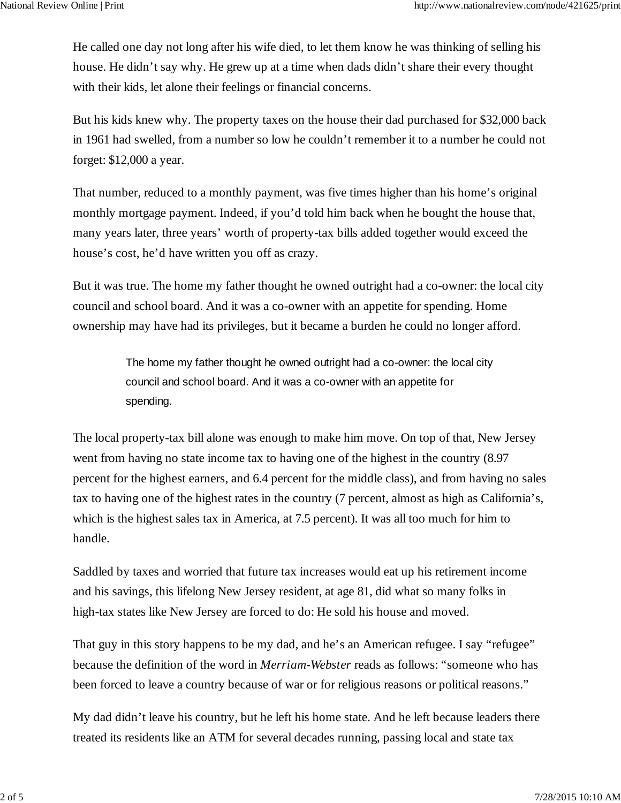He called one day not long after his wife died, to let them know he was thinking of selling his house. He didn't say why. He grew up at a time when dads didn't share their every thought with their kids, let alone their feelings or financial concerns.

But his kids knew why. The property taxes on the house their dad purchased for \$32,000 back in 1961 had swelled, from a number so low he couldn't remember it to a number he could not forget: \$12,000 a year.

That number, reduced to a monthly payment, was five times higher than his home's original monthly mortgage payment. Indeed, if you'd told him back when he bought the house that, many years later, three years' worth of property-tax bills added together would exceed the house's cost, he'd have written you off as crazy.

But it was true. The home my father thought he owned outright had a co-owner: the local city council and school board. And it was a co-owner with an appetite for spending. Home ownership may have had its privileges, but it became a burden he could no longer afford.

> The home my father thought he owned outright had a co-owner: the local city council and school board. And it was a co-owner with an appetite for spending.

The local property-tax bill alone was enough to make him move. On top of that, New Jersey went from having no state income tax to having one of the highest in the country (8.97 percent for the highest earners, and 6.4 percent for the middle class), and from having no sales tax to having one of the highest rates in the country (7 percent, almost as high as California's, which is the highest sales tax in America, at 7.5 percent). It was all too much for him to handle.

Saddled by taxes and worried that future tax increases would eat up his retirement income and his savings, this lifelong New Jersey resident, at age 81, did what so many folks in high-tax states like New Jersey are forced to do: He sold his house and moved.

That guy in this story happens to be my dad, and he's an American refugee. I say "refugee" because the definition of the word in *Merriam-Webster* reads as follows: "someone who has been forced to leave a country because of war or for religious reasons or political reasons."

My dad didn't leave his country, but he left his home state. And he left because leaders there treated its residents like an ATM for several decades running, passing local and state tax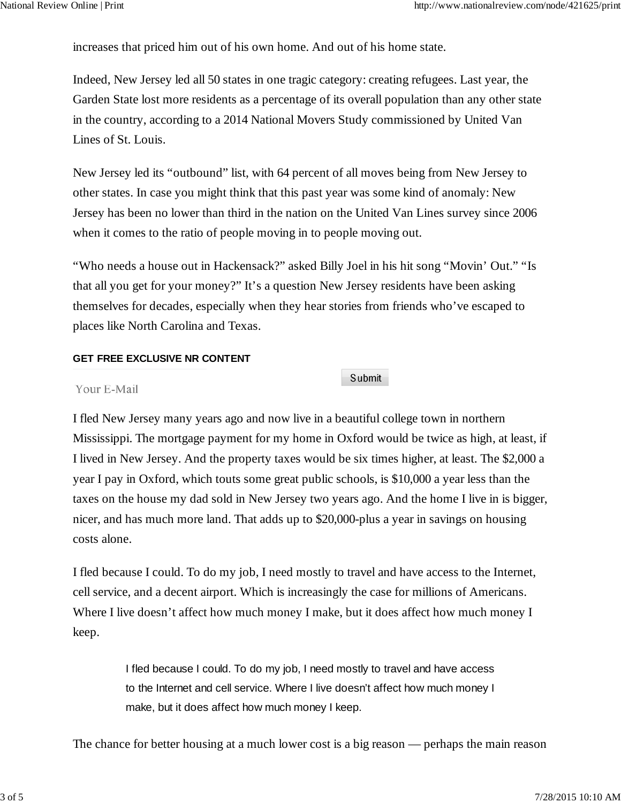increases that priced him out of his own home. And out of his home state.

Indeed, New Jersey led all 50 states in one tragic category: creating refugees. Last year, the Garden State lost more residents as a percentage of its overall population than any other state in the country, according to a 2014 National Movers Study commissioned by United Van Lines of St. Louis.

New Jersey led its "outbound" list, with 64 percent of all moves being from New Jersey to other states. In case you might think that this past year was some kind of anomaly: New Jersey has been no lower than third in the nation on the United Van Lines survey since 2006 when it comes to the ratio of people moving in to people moving out.

"Who needs a house out in Hackensack?" asked Billy Joel in his hit song "Movin' Out." "Is that all you get for your money?" It's a question New Jersey residents have been asking themselves for decades, especially when they hear stories from friends who've escaped to places like North Carolina and Texas.

## **GET FREE EXCLUSIVE NR CONTENT**

Submit

## Your E-Mail

I fled New Jersey many years ago and now live in a beautiful college town in northern Mississippi. The mortgage payment for my home in Oxford would be twice as high, at least, if I lived in New Jersey. And the property taxes would be six times higher, at least. The \$2,000 a year I pay in Oxford, which touts some great public schools, is \$10,000 a year less than the taxes on the house my dad sold in New Jersey two years ago. And the home I live in is bigger, nicer, and has much more land. That adds up to \$20,000-plus a year in savings on housing costs alone.

I fled because I could. To do my job, I need mostly to travel and have access to the Internet, cell service, and a decent airport. Which is increasingly the case for millions of Americans. Where I live doesn't affect how much money I make, but it does affect how much money I keep.

> I fled because I could. To do my job, I need mostly to travel and have access to the Internet and cell service. Where I live doesn't affect how much money I make, but it does affect how much money I keep.

The chance for better housing at a much lower cost is a big reason — perhaps the main reason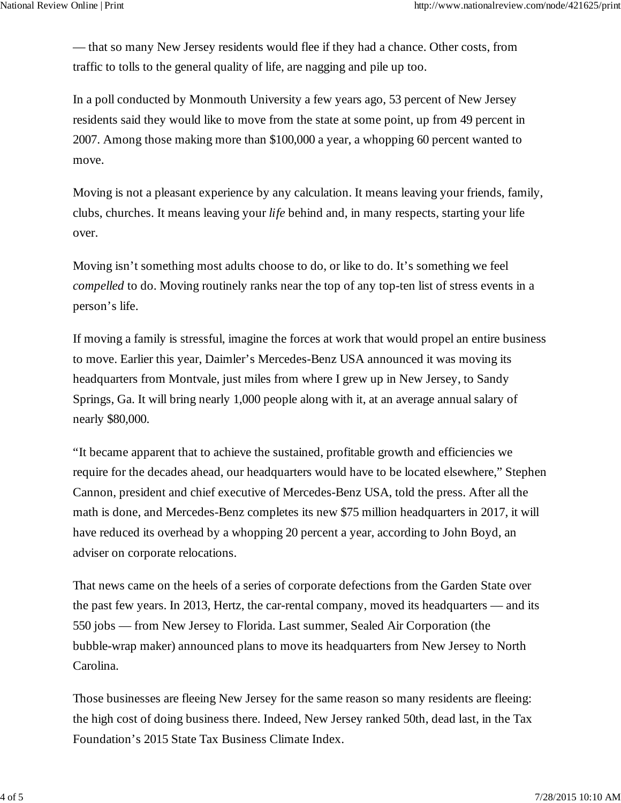— that so many New Jersey residents would flee if they had a chance. Other costs, from traffic to tolls to the general quality of life, are nagging and pile up too.

In a poll conducted by Monmouth University a few years ago, 53 percent of New Jersey residents said they would like to move from the state at some point, up from 49 percent in 2007. Among those making more than \$100,000 a year, a whopping 60 percent wanted to move.

Moving is not a pleasant experience by any calculation. It means leaving your friends, family, clubs, churches. It means leaving your *life* behind and, in many respects, starting your life over.

Moving isn't something most adults choose to do, or like to do. It's something we feel *compelled* to do. Moving routinely ranks near the top of any top-ten list of stress events in a person's life.

If moving a family is stressful, imagine the forces at work that would propel an entire business to move. Earlier this year, Daimler's Mercedes-Benz USA announced it was moving its headquarters from Montvale, just miles from where I grew up in New Jersey, to Sandy Springs, Ga. It will bring nearly 1,000 people along with it, at an average annual salary of nearly \$80,000.

"It became apparent that to achieve the sustained, profitable growth and efficiencies we require for the decades ahead, our headquarters would have to be located elsewhere," Stephen Cannon, president and chief executive of Mercedes-Benz USA, told the press. After all the math is done, and Mercedes-Benz completes its new \$75 million headquarters in 2017, it will have reduced its overhead by a whopping 20 percent a year, according to John Boyd, an adviser on corporate relocations.

That news came on the heels of a series of corporate defections from the Garden State over the past few years. In 2013, Hertz, the car-rental company, moved its headquarters — and its 550 jobs — from New Jersey to Florida. Last summer, Sealed Air Corporation (the bubble-wrap maker) announced plans to move its headquarters from New Jersey to North Carolina.

Those businesses are fleeing New Jersey for the same reason so many residents are fleeing: the high cost of doing business there. Indeed, New Jersey ranked 50th, dead last, in the Tax Foundation's 2015 State Tax Business Climate Index.